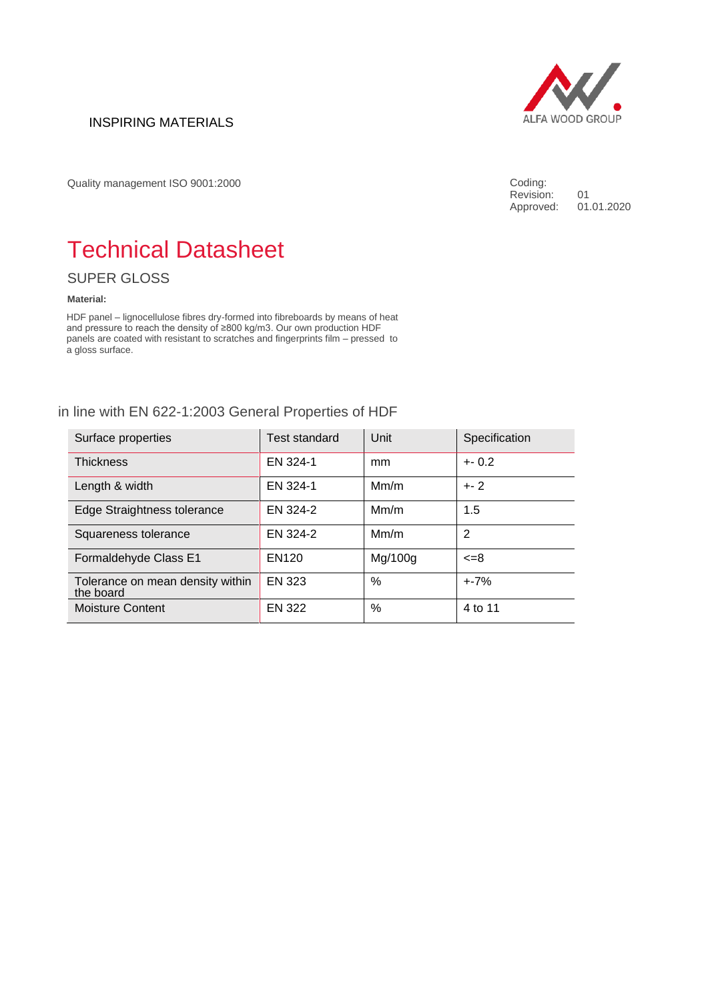# INSPIRING MATERIALS



Quality management ISO 9001:2000

Coding: Revision: 01<br>Approved: 01.01.2020 Approved:

# Technical Datasheet

SUPER GLOSS

#### **Material:**

HDF panel – lignocellulose fibres dry-formed into fibreboards by means of heat and pressure to reach the density of ≥800 kg/m3. Our own production HDF panels are coated with resistant to scratches and fingerprints film – pressed to a gloss surface.

# in line with EN 622-1:2003 General Properties of HDF

| Surface properties                            | Test standard | Unit    | Specification  |
|-----------------------------------------------|---------------|---------|----------------|
| <b>Thickness</b>                              | EN 324-1      | mm      | $+. 0.2$       |
| Length & width                                | EN 324-1      | Mm/m    | $+-2$          |
| Edge Straightness tolerance                   | EN 324-2      | Mm/m    | 1.5            |
| Squareness tolerance                          | EN 324-2      | Mm/m    | $\overline{2}$ |
| Formaldehyde Class E1                         | EN120         | Mg/100g | $\epsilon = 8$ |
| Tolerance on mean density within<br>the board | EN 323        | %       | $+ -7%$        |
| <b>Moisture Content</b>                       | EN 322        | %       | 4 to 11        |